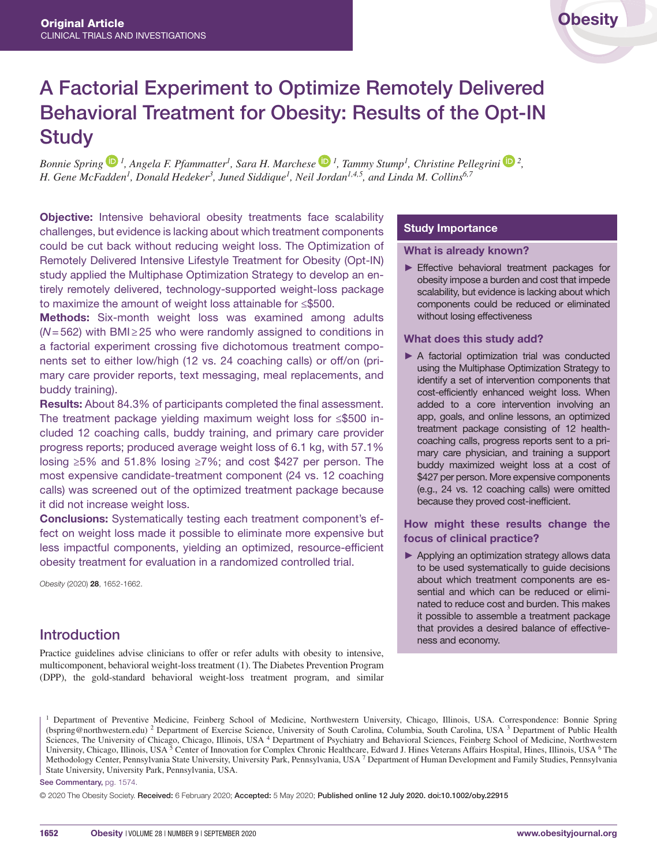# A Factorial Experiment to Optimize Remotely Delivered Behavioral Treatment for Obesity: Results of the Opt-IN **Study**

*Bonnie Sprin[g](https://orcid.org/0000-0003-0692-9868) 1, Angela F. Pfammatter1, Sara H. Marchese 1, Tammy Stump1, Christine Pellegrin[i](https://orcid.org/0000-0002-0922-0195) 2, H. Gene McFadden1, Donald Hedeker3, Juned Siddique1, Neil Jordan1,4,5, and Linda M. Collins6,7*

**Objective:** Intensive behavioral obesity treatments face scalability challenges, but evidence is lacking about which treatment components could be cut back without reducing weight loss. The Optimization of Remotely Delivered Intensive Lifestyle Treatment for Obesity (Opt-IN) study applied the Multiphase Optimization Strategy to develop an entirely remotely delivered, technology-supported weight-loss package to maximize the amount of weight loss attainable for ≤\$500.

Methods: Six-month weight loss was examined among adults (*N*=562) with BMI≥25 who were randomly assigned to conditions in a factorial experiment crossing five dichotomous treatment components set to either low/high (12 vs. 24 coaching calls) or off/on (primary care provider reports, text messaging, meal replacements, and buddy training).

Results: About 84.3% of participants completed the final assessment. The treatment package yielding maximum weight loss for ≤\$500 included 12 coaching calls, buddy training, and primary care provider progress reports; produced average weight loss of 6.1 kg, with 57.1% losing ≥5% and 51.8% losing ≥7%; and cost \$427 per person. The most expensive candidate-treatment component (24 vs. 12 coaching calls) was screened out of the optimized treatment package because it did not increase weight loss.

Conclusions: Systematically testing each treatment component's effect on weight loss made it possible to eliminate more expensive but less impactful components, yielding an optimized, resource-efficient obesity treatment for evaluation in a randomized controlled trial.

*Obesity* (2020) 28, 1652-1662.

#### Study Importance

#### What is already known?

▶ Effective behavioral treatment packages for obesity impose a burden and cost that impede scalability, but evidence is lacking about which components could be reduced or eliminated without losing effectiveness

#### What does this study add?

▶ A factorial optimization trial was conducted using the Multiphase Optimization Strategy to identify a set of intervention components that cost-efficiently enhanced weight loss. When added to a core intervention involving an app, goals, and online lessons, an optimized treatment package consisting of 12 healthcoaching calls, progress reports sent to a primary care physician, and training a support buddy maximized weight loss at a cost of \$427 per person. More expensive components (e.g., 24 vs. 12 coaching calls) were omitted because they proved cost-inefficient.

#### How might these results change the focus of clinical practice?

▶ Applying an optimization strategy allows data to be used systematically to guide decisions about which treatment components are essential and which can be reduced or eliminated to reduce cost and burden. This makes it possible to assemble a treatment package that provides a desired balance of effectiveness and economy.

### Introduction

Practice guidelines advise clinicians to offer or refer adults with obesity to intensive, multicomponent, behavioral weight-loss treatment (1). The Diabetes Prevention Program (DPP), the gold-standard behavioral weight-loss treatment program, and similar

#### See Commentary, pg. [1574](https://doi.org/10.1002/oby.22957).

© 2020 The Obesity Society. Received: 6 February 2020; Accepted: 5 May 2020; Published online 12 July 2020. doi:10.1002/oby.22915

<sup>&</sup>lt;sup>1</sup> Department of Preventive Medicine, Feinberg School of Medicine, Northwestern University, Chicago, Illinois, USA. Correspondence: Bonnie Spring [\(bspring@northwestern.edu\)](mailto:bspring@northwestern.edu) <sup>2</sup> Department of Exercise Science, University of South Carolina, Columbia, South Carolina, USA <sup>3</sup> Department of Public Health Sciences, The University of Chicago, Chicago, Illinois, USA 4 Department of Psychiatry and Behavioral Sciences, Feinberg School of Medicine, Northwestern University, Chicago, Illinois, USA<sup>5</sup> Center of Innovation for Complex Chronic Healthcare, Edward J. Hines Veterans Affairs Hospital, Hines, Illinois, USA<sup>6</sup> The Methodology Center, Pennsylvania State University, University Park, Pennsylvania, USA<sup>7</sup> Department of Human Development and Family Studies, Pennsylvania State University, University Park, Pennsylvania, USA.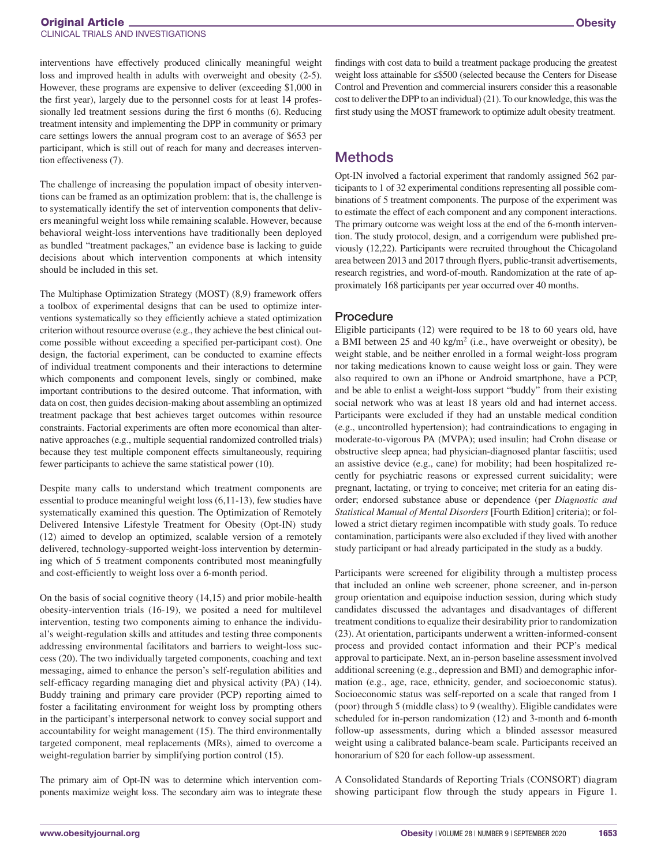interventions have effectively produced clinically meaningful weight loss and improved health in adults with overweight and obesity (2-5). However, these programs are expensive to deliver (exceeding \$1,000 in the first year), largely due to the personnel costs for at least 14 professionally led treatment sessions during the first 6 months (6). Reducing treatment intensity and implementing the DPP in community or primary care settings lowers the annual program cost to an average of \$653 per participant, which is still out of reach for many and decreases intervention effectiveness (7).

The challenge of increasing the population impact of obesity interventions can be framed as an optimization problem: that is, the challenge is to systematically identify the set of intervention components that delivers meaningful weight loss while remaining scalable. However, because behavioral weight-loss interventions have traditionally been deployed as bundled "treatment packages," an evidence base is lacking to guide decisions about which intervention components at which intensity should be included in this set.

The Multiphase Optimization Strategy (MOST) (8,9) framework offers a toolbox of experimental designs that can be used to optimize interventions systematically so they efficiently achieve a stated optimization criterion without resource overuse (e.g., they achieve the best clinical outcome possible without exceeding a specified per-participant cost). One design, the factorial experiment, can be conducted to examine effects of individual treatment components and their interactions to determine which components and component levels, singly or combined, make important contributions to the desired outcome. That information, with data on cost, then guides decision-making about assembling an optimized treatment package that best achieves target outcomes within resource constraints. Factorial experiments are often more economical than alternative approaches (e.g., multiple sequential randomized controlled trials) because they test multiple component effects simultaneously, requiring fewer participants to achieve the same statistical power (10).

Despite many calls to understand which treatment components are essential to produce meaningful weight loss (6,11-13), few studies have systematically examined this question. The Optimization of Remotely Delivered Intensive Lifestyle Treatment for Obesity (Opt-IN) study (12) aimed to develop an optimized, scalable version of a remotely delivered, technology-supported weight-loss intervention by determining which of 5 treatment components contributed most meaningfully and cost-efficiently to weight loss over a 6-month period.

On the basis of social cognitive theory (14,15) and prior mobile-health obesity-intervention trials (16-19), we posited a need for multilevel intervention, testing two components aiming to enhance the individual's weight-regulation skills and attitudes and testing three components addressing environmental facilitators and barriers to weight-loss success (20). The two individually targeted components, coaching and text messaging, aimed to enhance the person's self-regulation abilities and self-efficacy regarding managing diet and physical activity (PA) (14). Buddy training and primary care provider (PCP) reporting aimed to foster a facilitating environment for weight loss by prompting others in the participant's interpersonal network to convey social support and accountability for weight management (15). The third environmentally targeted component, meal replacements (MRs), aimed to overcome a weight-regulation barrier by simplifying portion control (15).

The primary aim of Opt-IN was to determine which intervention components maximize weight loss. The secondary aim was to integrate these findings with cost data to build a treatment package producing the greatest weight loss attainable for ≤\$500 (selected because the Centers for Disease Control and Prevention and commercial insurers consider this a reasonable cost to deliver the DPP to an individual) (21). To our knowledge, this was the first study using the MOST framework to optimize adult obesity treatment.

## **Methods**

Opt-IN involved a factorial experiment that randomly assigned 562 participants to 1 of 32 experimental conditions representing all possible combinations of 5 treatment components. The purpose of the experiment was to estimate the effect of each component and any component interactions. The primary outcome was weight loss at the end of the 6-month intervention. The study protocol, design, and a corrigendum were published previously (12,22). Participants were recruited throughout the Chicagoland area between 2013 and 2017 through flyers, public-transit advertisements, research registries, and word-of-mouth. Randomization at the rate of approximately 168 participants per year occurred over 40 months.

#### Procedure

Eligible participants (12) were required to be 18 to 60 years old, have a BMI between  $25$  and  $40 \text{ kg/m}^2$  (i.e., have overweight or obesity), be weight stable, and be neither enrolled in a formal weight-loss program nor taking medications known to cause weight loss or gain. They were also required to own an iPhone or Android smartphone, have a PCP, and be able to enlist a weight-loss support "buddy" from their existing social network who was at least 18 years old and had internet access. Participants were excluded if they had an unstable medical condition (e.g., uncontrolled hypertension); had contraindications to engaging in moderate-to-vigorous PA (MVPA); used insulin; had Crohn disease or obstructive sleep apnea; had physician-diagnosed plantar fasciitis; used an assistive device (e.g., cane) for mobility; had been hospitalized recently for psychiatric reasons or expressed current suicidality; were pregnant, lactating, or trying to conceive; met criteria for an eating disorder; endorsed substance abuse or dependence (per *Diagnostic and Statistical Manual of Mental Disorders* [Fourth Edition] criteria); or followed a strict dietary regimen incompatible with study goals. To reduce contamination, participants were also excluded if they lived with another study participant or had already participated in the study as a buddy.

Participants were screened for eligibility through a multistep process that included an online web screener, phone screener, and in-person group orientation and equipoise induction session, during which study candidates discussed the advantages and disadvantages of different treatment conditions to equalize their desirability prior to randomization (23). At orientation, participants underwent a written-informed-consent process and provided contact information and their PCP's medical approval to participate. Next, an in-person baseline assessment involved additional screening (e.g., depression and BMI) and demographic information (e.g., age, race, ethnicity, gender, and socioeconomic status). Socioeconomic status was self-reported on a scale that ranged from 1 (poor) through 5 (middle class) to 9 (wealthy). Eligible candidates were scheduled for in-person randomization (12) and 3-month and 6-month follow-up assessments, during which a blinded assessor measured weight using a calibrated balance-beam scale. Participants received an honorarium of \$20 for each follow-up assessment.

A Consolidated Standards of Reporting Trials (CONSORT) diagram showing participant flow through the study appears in Figure 1.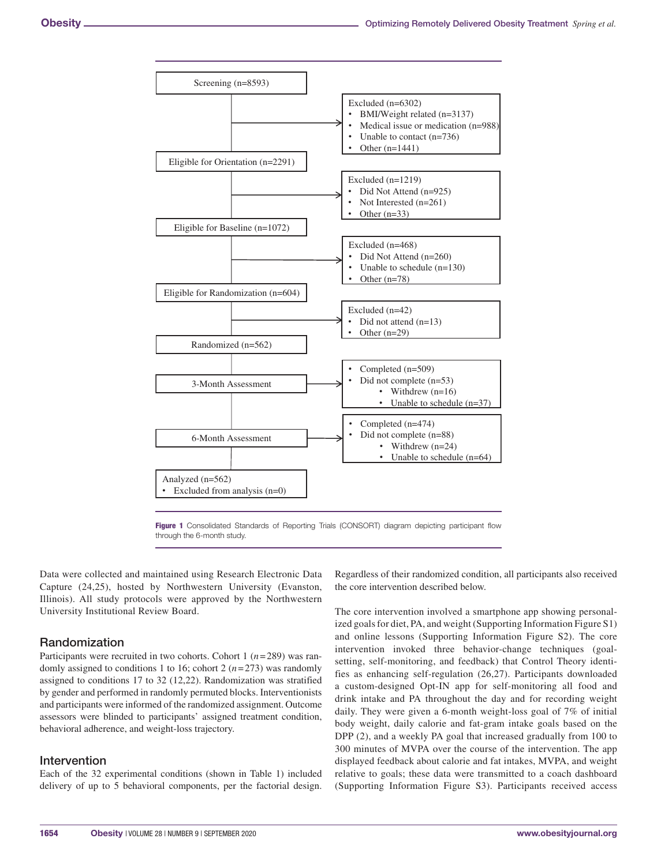



Data were collected and maintained using Research Electronic Data Capture (24,25), hosted by Northwestern University (Evanston, Illinois). All study protocols were approved by the Northwestern University Institutional Review Board.

### Randomization

Participants were recruited in two cohorts. Cohort 1 (*n*=289) was randomly assigned to conditions 1 to 16; cohort 2  $(n=273)$  was randomly assigned to conditions 17 to 32 (12,22). Randomization was stratified by gender and performed in randomly permuted blocks. Interventionists and participants were informed of the randomized assignment. Outcome assessors were blinded to participants' assigned treatment condition, behavioral adherence, and weight-loss trajectory.

#### Intervention

Each of the 32 experimental conditions (shown in Table 1) included delivery of up to 5 behavioral components, per the factorial design.

Regardless of their randomized condition, all participants also received the core intervention described below.

The core intervention involved a smartphone app showing personalized goals for diet, PA, and weight (Supporting Information Figure S1) and online lessons (Supporting Information Figure S2). The core intervention invoked three behavior-change techniques (goalsetting, self-monitoring, and feedback) that Control Theory identifies as enhancing self-regulation (26,27). Participants downloaded a custom-designed Opt-IN app for self-monitoring all food and drink intake and PA throughout the day and for recording weight daily. They were given a 6-month weight-loss goal of 7% of initial body weight, daily calorie and fat-gram intake goals based on the DPP (2), and a weekly PA goal that increased gradually from 100 to 300 minutes of MVPA over the course of the intervention. The app displayed feedback about calorie and fat intakes, MVPA, and weight relative to goals; these data were transmitted to a coach dashboard (Supporting Information Figure S3). Participants received access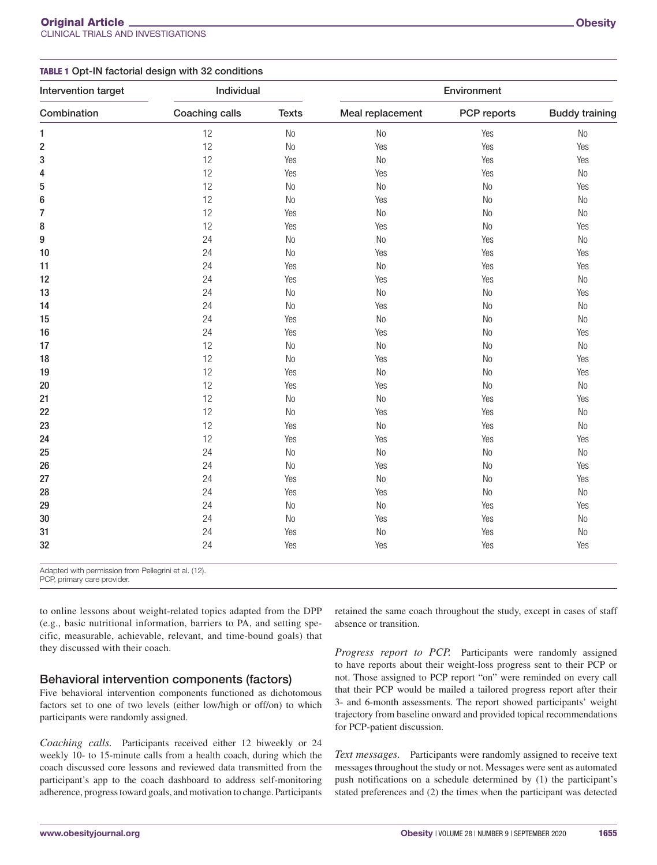#### TABLE 1 Opt-IN factorial design with 32 conditions

| Intervention target | Individual     |                |                  | Environment    |                       |
|---------------------|----------------|----------------|------------------|----------------|-----------------------|
| Combination         | Coaching calls | <b>Texts</b>   | Meal replacement | PCP reports    | <b>Buddy training</b> |
| 1                   | 12             | No             | $\rm No$         | Yes            | $\rm No$              |
| $\boldsymbol{2}$    | 12             | N <sub>0</sub> | Yes              | Yes            | Yes                   |
| 3                   | 12             | Yes            | No               | Yes            | Yes                   |
| 4                   | 12             | Yes            | Yes              | Yes            | N <sub>o</sub>        |
| $\mathbf 5$         | 12             | N <sub>0</sub> | $\rm No$         | No             | Yes                   |
| $\boldsymbol{6}$    | 12             | No             | Yes              | N <sub>0</sub> | N <sub>o</sub>        |
| $\overline{7}$      | 12             | Yes            | No               | No             | No                    |
| 8                   | 12             | Yes            | Yes              | No             | Yes                   |
| 9                   | 24             | No             | $\rm No$         | Yes            | No                    |
| 10                  | 24             | N <sub>0</sub> | Yes              | Yes            | Yes                   |
| 11                  | 24             | Yes            | $\rm No$         | Yes            | Yes                   |
| 12                  | 24             | Yes            | Yes              | Yes            | N <sub>o</sub>        |
| 13                  | 24             | N <sub>0</sub> | $\rm No$         | N <sub>0</sub> | Yes                   |
| 14                  | 24             | N <sub>o</sub> | Yes              | N <sub>0</sub> | N <sub>o</sub>        |
| 15                  | 24             | Yes            | $\rm No$         | N <sub>0</sub> | N <sub>o</sub>        |
| 16                  | 24             | Yes            | Yes              | N <sub>0</sub> | Yes                   |
| 17                  | 12             | N <sub>0</sub> | $\rm No$         | N <sub>0</sub> | No                    |
| 18                  | 12             | N <sub>0</sub> | Yes              | N <sub>0</sub> | Yes                   |
| 19                  | 12             | Yes            | $\rm No$         | N <sub>0</sub> | Yes                   |
| 20                  | 12             | Yes            | Yes              | N <sub>0</sub> | N <sub>o</sub>        |
| 21                  | 12             | N <sub>0</sub> | No               | Yes            | Yes                   |
| 22                  | 12             | N <sub>0</sub> | Yes              | Yes            | N <sub>o</sub>        |
| 23                  | 12             | Yes            | $\rm No$         | Yes            | No                    |
| 24                  | 12             | Yes            | Yes              | Yes            | Yes                   |
| 25                  | 24             | N <sub>0</sub> | <b>No</b>        | N <sub>0</sub> | No                    |
| 26                  | 24             | No             | Yes              | N <sub>0</sub> | Yes                   |
| 27                  | 24             | Yes            | No               | N <sub>o</sub> | Yes                   |
| 28                  | 24             | Yes            | Yes              | N <sub>0</sub> | N <sub>0</sub>        |
| 29                  | 24             | N <sub>0</sub> | $\rm No$         | Yes            | Yes                   |
| 30                  | 24             | N <sub>0</sub> | Yes              | Yes            | No                    |
| 31                  | 24             | Yes            | $\rm No$         | Yes            | No                    |
| 32                  | 24             | Yes            | Yes              | Yes            | Yes                   |

Adapted with permission from Pellegrini et al. (12). PCP, primary care provider.

to online lessons about weight-related topics adapted from the DPP (e.g., basic nutritional information, barriers to PA, and setting specific, measurable, achievable, relevant, and time-bound goals) that they discussed with their coach.

#### Behavioral intervention components (factors)

Five behavioral intervention components functioned as dichotomous factors set to one of two levels (either low/high or off/on) to which participants were randomly assigned.

*Coaching calls.* Participants received either 12 biweekly or 24 weekly 10- to 15-minute calls from a health coach, during which the coach discussed core lessons and reviewed data transmitted from the participant's app to the coach dashboard to address self-monitoring adherence, progress toward goals, and motivation to change. Participants retained the same coach throughout the study, except in cases of staff absence or transition.

*Progress report to PCP.* Participants were randomly assigned to have reports about their weight-loss progress sent to their PCP or not. Those assigned to PCP report "on" were reminded on every call that their PCP would be mailed a tailored progress report after their 3- and 6-month assessments. The report showed participants' weight trajectory from baseline onward and provided topical recommendations for PCP-patient discussion.

*Text messages.* Participants were randomly assigned to receive text messages throughout the study or not. Messages were sent as automated push notifications on a schedule determined by (1) the participant's stated preferences and (2) the times when the participant was detected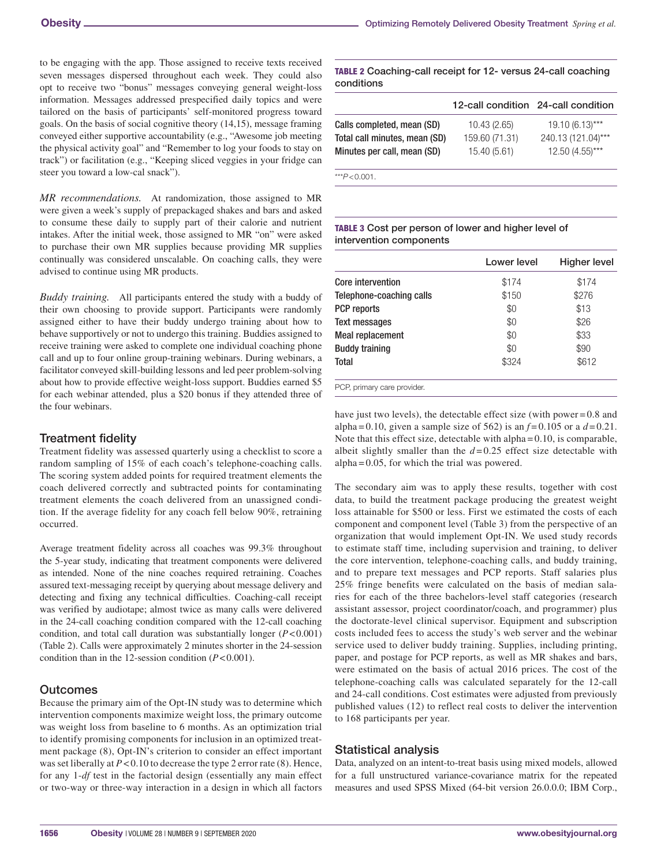to be engaging with the app. Those assigned to receive texts received seven messages dispersed throughout each week. They could also opt to receive two "bonus" messages conveying general weight-loss information. Messages addressed prespecified daily topics and were tailored on the basis of participants' self-monitored progress toward goals. On the basis of social cognitive theory (14,15), message framing conveyed either supportive accountability (e.g., "Awesome job meeting the physical activity goal" and "Remember to log your foods to stay on track") or facilitation (e.g., "Keeping sliced veggies in your fridge can steer you toward a low-cal snack").

*MR recommendations.* At randomization, those assigned to MR were given a week's supply of prepackaged shakes and bars and asked to consume these daily to supply part of their calorie and nutrient intakes. After the initial week, those assigned to MR "on" were asked to purchase their own MR supplies because providing MR supplies continually was considered unscalable. On coaching calls, they were advised to continue using MR products.

*Buddy training.* All participants entered the study with a buddy of their own choosing to provide support. Participants were randomly assigned either to have their buddy undergo training about how to behave supportively or not to undergo this training. Buddies assigned to receive training were asked to complete one individual coaching phone call and up to four online group-training webinars. During webinars, a facilitator conveyed skill-building lessons and led peer problem-solving about how to provide effective weight-loss support. Buddies earned \$5 for each webinar attended, plus a \$20 bonus if they attended three of the four webinars.

#### Treatment fidelity

Treatment fidelity was assessed quarterly using a checklist to score a random sampling of 15% of each coach's telephone-coaching calls. The scoring system added points for required treatment elements the coach delivered correctly and subtracted points for contaminating treatment elements the coach delivered from an unassigned condition. If the average fidelity for any coach fell below 90%, retraining occurred.

Average treatment fidelity across all coaches was 99.3% throughout the 5-year study, indicating that treatment components were delivered as intended. None of the nine coaches required retraining. Coaches assured text-messaging receipt by querying about message delivery and detecting and fixing any technical difficulties. Coaching-call receipt was verified by audiotape; almost twice as many calls were delivered in the 24-call coaching condition compared with the 12-call coaching condition, and total call duration was substantially longer (*P*<0.001) (Table 2). Calls were approximately 2 minutes shorter in the 24-session condition than in the 12-session condition  $(P<0.001)$ .

#### **Outcomes**

Because the primary aim of the Opt-IN study was to determine which intervention components maximize weight loss, the primary outcome was weight loss from baseline to 6 months. As an optimization trial to identify promising components for inclusion in an optimized treatment package (8), Opt-IN's criterion to consider an effect important was set liberally at *P* < 0.10 to decrease the type 2 error rate (8). Hence, for any 1-*df* test in the factorial design (essentially any main effect or two-way or three-way interaction in a design in which all factors TABLE 2 Coaching-call receipt for 12- versus 24-call coaching conditions

|                               |                | 12-call condition 24-call condition |
|-------------------------------|----------------|-------------------------------------|
| Calls completed, mean (SD)    | 10.43(2.65)    | $19.10(6.13)***$                    |
| Total call minutes, mean (SD) | 159.60 (71.31) | 240.13 (121.04)***                  |
| Minutes per call, mean (SD)   | 15.40 (5.61)   | 12.50 (4.55)***                     |
|                               |                |                                     |

\*\*\**P*<0.001.

| TABLE 3 Cost per person of lower and higher level of |  |
|------------------------------------------------------|--|
| intervention components                              |  |

|                             | Lower level | <b>Higher level</b> |
|-----------------------------|-------------|---------------------|
| Core intervention           | \$174       | \$174               |
| Telephone-coaching calls    | \$150       | \$276               |
| PCP reports                 | \$0         | \$13                |
| <b>Text messages</b>        | \$0         | \$26                |
| <b>Meal replacement</b>     | \$0         | \$33                |
| <b>Buddy training</b>       | \$0         | \$90                |
| <b>Total</b>                | \$324       | \$612               |
| PCP, primary care provider. |             |                     |

have just two levels), the detectable effect size (with power = 0.8 and alpha = 0.10, given a sample size of 562) is an  $f=0.105$  or a  $d=0.21$ . Note that this effect size, detectable with  $alpha = 0.10$ , is comparable, albeit slightly smaller than the  $d = 0.25$  effect size detectable with alpha = 0.05, for which the trial was powered.

The secondary aim was to apply these results, together with cost data, to build the treatment package producing the greatest weight loss attainable for \$500 or less. First we estimated the costs of each component and component level (Table 3) from the perspective of an organization that would implement Opt-IN. We used study records to estimate staff time, including supervision and training, to deliver the core intervention, telephone-coaching calls, and buddy training, and to prepare text messages and PCP reports. Staff salaries plus 25% fringe benefits were calculated on the basis of median salaries for each of the three bachelors-level staff categories (research assistant assessor, project coordinator/coach, and programmer) plus the doctorate-level clinical supervisor. Equipment and subscription costs included fees to access the study's web server and the webinar service used to deliver buddy training. Supplies, including printing, paper, and postage for PCP reports, as well as MR shakes and bars, were estimated on the basis of actual 2016 prices. The cost of the telephone-coaching calls was calculated separately for the 12-call and 24-call conditions. Cost estimates were adjusted from previously published values (12) to reflect real costs to deliver the intervention to 168 participants per year.

#### Statistical analysis

Data, analyzed on an intent-to-treat basis using mixed models, allowed for a full unstructured variance-covariance matrix for the repeated measures and used SPSS Mixed (64-bit version 26.0.0.0; IBM Corp.,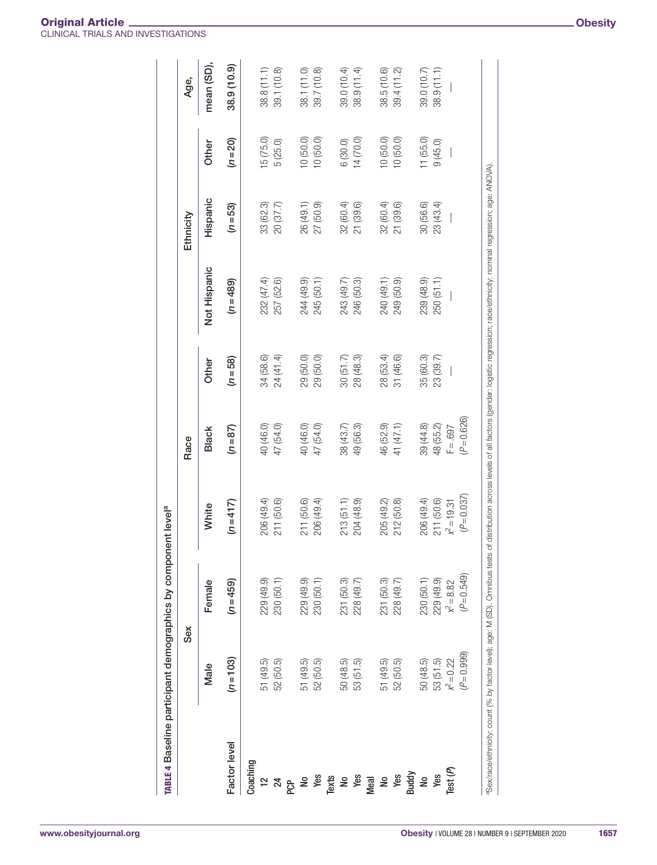|                                              |              | TABLE 4 Baseline participant demographics by component level <sup>a</sup> |               |              |                          |                                                                                                                                                                                                        |            |            |             |
|----------------------------------------------|--------------|---------------------------------------------------------------------------|---------------|--------------|--------------------------|--------------------------------------------------------------------------------------------------------------------------------------------------------------------------------------------------------|------------|------------|-------------|
|                                              |              | Sex                                                                       |               | Race         |                          |                                                                                                                                                                                                        | Ethnicity  |            | Age,        |
|                                              | Male         | Female                                                                    | White         | <b>Black</b> | Other                    | Not Hispanic                                                                                                                                                                                           | Hispanic   | Other      | mean (SD),  |
| Factor level                                 | $(n=103)$    | $(n=459)$                                                                 | $(n=417)$     | $(n=87)$     | $(n = 58)$               | $(n=489)$                                                                                                                                                                                              | $(n = 53)$ | $(n=20)$   | 38.9 (10.9) |
| Coaching                                     |              |                                                                           |               |              |                          |                                                                                                                                                                                                        |            |            |             |
| $\frac{2}{3}$                                | 51 (49.5)    | 229 (49.9)                                                                | 206 (49.4)    | 40 (46.0)    | 34 (58.6)                | 232 (47.4)                                                                                                                                                                                             | 33 (62.3)  | 15(75.0)   | 38.8(11.1)  |
| 24                                           | 52 (50.5)    | 230 (50.1)                                                                | 211 (50.6)    | 47 (54.0)    | 24 (41.4)                | 257 (52.6)                                                                                                                                                                                             | 20 (37.7)  | 5(25.0)    | 39.1 (10.8) |
| <b>PCP</b>                                   |              |                                                                           |               |              |                          |                                                                                                                                                                                                        |            |            |             |
| ٤                                            | 51 (49.5)    | 229 (49.9)                                                                | 211 (50.6)    | 40 (46.0)    | 29 (50.0)                | 244 (49.9)                                                                                                                                                                                             | 26 (49.1)  | 10 (50.0)  | 38.1 (11.0) |
| Yes                                          | 52 (50.5)    | 230 (50.1)                                                                | 206 (49.4)    | 47 (54.0)    | 29 (50.0)                | 245 (50.1)                                                                                                                                                                                             | 27 (50.9)  | 10(50.0)   | 39.7 (10.8) |
| Texts                                        |              |                                                                           |               |              |                          |                                                                                                                                                                                                        |            |            |             |
| å                                            | 50 (48.5)    | 231 (50.3)                                                                | 213 (51.1)    | 38 (43.7)    | 30(51.7)                 | 243 (49.7)                                                                                                                                                                                             | 32 (60.4)  | 6(30.0)    | 39.0 (10.4) |
| Yes                                          | 53 (51.5)    | 228 (49.7)                                                                | 204 (48.9)    | 49 (56.3)    | 28 (48.3)                | 246 (50.3)                                                                                                                                                                                             | 21 (39.6)  | 14(70.0)   | 38.9 (11.4) |
| <b>Meal</b>                                  |              |                                                                           |               |              |                          |                                                                                                                                                                                                        |            |            |             |
| $\mathrel{\mathop{\underline{\mathcal{E}}}}$ | 51 (49.5)    | 231 (50.3)                                                                | 205 (49.2)    | 46 (52.9)    | 28 (53.4)                | 240 (49.1)                                                                                                                                                                                             | 32 (60.4)  | 10(50.0)   | 38.5 (10.6) |
| Yes                                          | 52 (50.5)    | 228 (49.7)                                                                | 212 (50.8)    | 41 (47.1)    | 31 (46.6)                | 249 (50.9)                                                                                                                                                                                             | 21 (39.6)  | (0.050, 0) | 39.4(11.2)  |
| Buddy                                        |              |                                                                           |               |              |                          |                                                                                                                                                                                                        |            |            |             |
| å                                            | 50 (48.5)    | 230 (50.1)                                                                | 206 (49.4)    | 39 (44.8)    | 35 (60.3)                | 239 (48.9)                                                                                                                                                                                             | 30 (56.6)  | 11(55.0)   | 39.0(10.7)  |
| Yes                                          | 53 (51.5)    | 229 (49.9)                                                                | 211 (50.6)    | 48 (55.2)    | 23 (39.7)                | 250(51.1)                                                                                                                                                                                              | 23 (43.4)  | 9(45.0)    | 38.9(11.1)  |
| Test (P)                                     | $x^2 = 0.22$ | $x^2 = 8.82$                                                              | $x^2 = 19.31$ | $F = .697$   | $\overline{\phantom{a}}$ | I                                                                                                                                                                                                      |            | $\bigg $   |             |
|                                              | $(P=0.999)$  | $(P=0.549)$                                                               | $(P = 0.037)$ | $(P=0.626)$  |                          |                                                                                                                                                                                                        |            |            |             |
|                                              |              |                                                                           |               |              |                          |                                                                                                                                                                                                        |            |            |             |
|                                              |              |                                                                           |               |              |                          | %Sex/race/ethnicity: count (% by factor level); age: M (SD). Omnibus tests of distribution across levels of all factors (gender: logistic regression; race/ethnicity: nominal regression; age: ANO/A). |            |            |             |
|                                              |              |                                                                           |               |              |                          |                                                                                                                                                                                                        |            |            |             |

Original Article CLINICAL TRIALS AND INVESTIGATIONS

> ÷. l.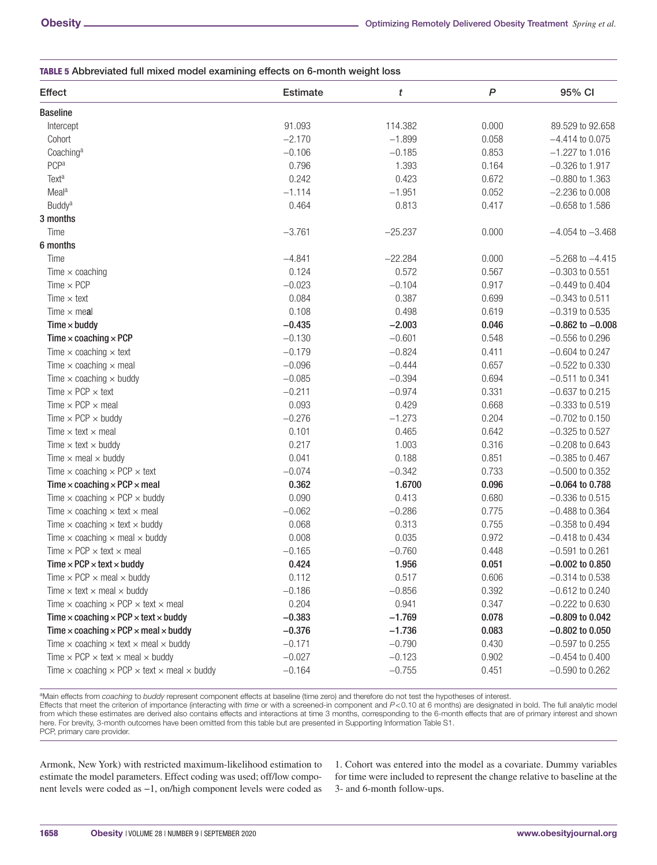#### TABLE 5 Abbreviated full mixed model examining effects on 6-month weight loss

| Effect                                                                         | Estimate | t         | $\boldsymbol{P}$ | 95% CI               |
|--------------------------------------------------------------------------------|----------|-----------|------------------|----------------------|
| <b>Baseline</b>                                                                |          |           |                  |                      |
| Intercept                                                                      | 91.093   | 114.382   | 0.000            | 89.529 to 92.658     |
| Cohort                                                                         | $-2.170$ | $-1.899$  | 0.058            | $-4.414$ to $0.075$  |
| Coaching <sup>a</sup>                                                          | $-0.106$ | $-0.185$  | 0.853            | $-1.227$ to $1.016$  |
| PCP <sup>a</sup>                                                               | 0.796    | 1.393     | 0.164            | $-0.326$ to 1.917    |
| Text <sup>a</sup>                                                              | 0.242    | 0.423     | 0.672            | $-0.880$ to 1.363    |
| Meal <sup>a</sup>                                                              | $-1.114$ | $-1.951$  | 0.052            | $-2.236$ to $0.008$  |
| <b>Buddy<sup>a</sup></b>                                                       | 0.464    | 0.813     | 0.417            | $-0.658$ to 1.586    |
| 3 months                                                                       |          |           |                  |                      |
| Time                                                                           | $-3.761$ | $-25.237$ | 0.000            | $-4.054$ to $-3.468$ |
| 6 months                                                                       |          |           |                  |                      |
| Time                                                                           | $-4.841$ | $-22.284$ | 0.000            | $-5.268$ to $-4.415$ |
| Time $\times$ coaching                                                         | 0.124    | 0.572     | 0.567            | $-0.303$ to $0.551$  |
| Time $\times$ PCP                                                              | $-0.023$ | $-0.104$  | 0.917            | $-0.449$ to 0.404    |
| Time $\times$ text                                                             | 0.084    | 0.387     | 0.699            | $-0.343$ to $0.511$  |
| Time $\times$ meal                                                             | 0.108    | 0.498     | 0.619            | $-0.319$ to $0.535$  |
| Time $\times$ buddy                                                            | $-0.435$ | $-2.003$  | 0.046            | $-0.862$ to $-0.008$ |
| Time $\times$ coaching $\times$ PCP                                            | $-0.130$ | $-0.601$  | 0.548            | $-0.556$ to 0.296    |
| Time $\times$ coaching $\times$ text                                           | $-0.179$ | $-0.824$  | 0.411            | $-0.604$ to 0.247    |
| Time $\times$ coaching $\times$ meal                                           | $-0.096$ | $-0.444$  | 0.657            | $-0.522$ to $0.330$  |
| Time $\times$ coaching $\times$ buddy                                          | $-0.085$ | $-0.394$  | 0.694            | $-0.511$ to 0.341    |
| Time $\times$ PCP $\times$ text                                                | $-0.211$ | $-0.974$  | 0.331            | $-0.637$ to 0.215    |
| Time $\times$ PCP $\times$ meal                                                | 0.093    | 0.429     | 0.668            | $-0.333$ to $0.519$  |
| Time $\times$ PCP $\times$ buddy                                               | $-0.276$ | $-1.273$  | 0.204            | $-0.702$ to $0.150$  |
| Time $\times$ text $\times$ meal                                               | 0.101    | 0.465     | 0.642            | $-0.325$ to $0.527$  |
| Time $\times$ text $\times$ buddy                                              | 0.217    | 1.003     | 0.316            | $-0.208$ to $0.643$  |
| Time $\times$ meal $\times$ buddy                                              | 0.041    | 0.188     | 0.851            | $-0.385$ to $0.467$  |
| Time $\times$ coaching $\times$ PCP $\times$ text                              | $-0.074$ | $-0.342$  | 0.733            | $-0.500$ to $0.352$  |
| Time $\times$ coaching $\times$ PCP $\times$ meal                              | 0.362    | 1.6700    | 0.096            | $-0.064$ to 0.788    |
| Time $\times$ coaching $\times$ PCP $\times$ buddy                             | 0.090    | 0.413     | 0.680            | $-0.336$ to $0.515$  |
| Time $\times$ coaching $\times$ text $\times$ meal                             | $-0.062$ | $-0.286$  | 0.775            | $-0.488$ to $0.364$  |
| Time $\times$ coaching $\times$ text $\times$ buddy                            | 0.068    | 0.313     | 0.755            | $-0.358$ to 0.494    |
| Time $\times$ coaching $\times$ meal $\times$ buddy                            | 0.008    | 0.035     | 0.972            | $-0.418$ to 0.434    |
| Time $\times$ PCP $\times$ text $\times$ meal                                  | $-0.165$ | $-0.760$  | 0.448            | $-0.591$ to 0.261    |
| Time $\times$ PCP $\times$ text $\times$ buddy                                 | 0.424    | 1.956     | 0.051            | $-0.002$ to $0.850$  |
| Time $\times$ PCP $\times$ meal $\times$ buddy                                 | 0.112    | 0.517     | 0.606            | $-0.314$ to $0.538$  |
| Time $\times$ text $\times$ meal $\times$ buddy                                | $-0.186$ | $-0.856$  | 0.392            | $-0.612$ to 0.240    |
| Time $\times$ coaching $\times$ PCP $\times$ text $\times$ meal                | 0.204    | 0.941     | 0.347            | $-0.222$ to $0.630$  |
| Time $\times$ coaching $\times$ PCP $\times$ text $\times$ buddy               | $-0.383$ | $-1.769$  | 0.078            | $-0.809$ to 0.042    |
| Time $\times$ coaching $\times$ PCP $\times$ meal $\times$ buddy               | $-0.376$ | $-1.736$  | 0.083            | $-0.802$ to $0.050$  |
| Time $\times$ coaching $\times$ text $\times$ meal $\times$ buddy              | $-0.171$ | $-0.790$  | 0.430            | $-0.597$ to 0.255    |
| Time $\times$ PCP $\times$ text $\times$ meal $\times$ buddy                   | $-0.027$ | $-0.123$  | 0.902            | $-0.454$ to $0.400$  |
| Time $\times$ coaching $\times$ PCP $\times$ text $\times$ meal $\times$ buddy | $-0.164$ | $-0.755$  | 0.451            | $-0.590$ to 0.262    |

aMain effects from *coaching* to *buddy* represent component effects at baseline (time zero) and therefore do not test the hypotheses of interest.

Effects that meet the criterion of importance (interacting with *time* or with a screened-in component and *P*<0.10 at 6 months) are designated in bold. The full analytic model from which these estimates are derived also contains effects and interactions at time 3 months, corresponding to the 6-month effects that are of primary interest and shown here. For brevity, 3-month outcomes have been omitted from this table but are presented in Supporting Information Table S1. PCP, primary care provider.

Armonk, New York) with restricted maximum-likelihood estimation to estimate the model parameters. Effect coding was used; off/low component levels were coded as −1, on/high component levels were coded as

1. Cohort was entered into the model as a covariate. Dummy variables for time were included to represent the change relative to baseline at the 3- and 6-month follow-ups.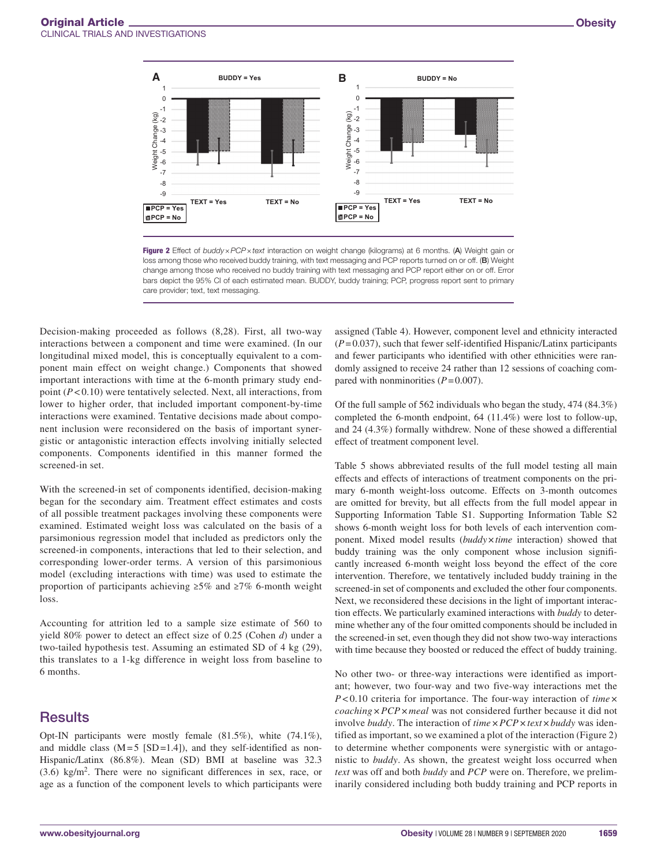

Figure 2 Effect of *buddy*×*PCP*×*text* interaction on weight change (kilograms) at 6 months. (A) Weight gain or loss among those who received buddy training, with text messaging and PCP reports turned on or off. (B) Weight change among those who received no buddy training with text messaging and PCP report either on or off. Error bars depict the 95% CI of each estimated mean. BUDDY, buddy training; PCP, progress report sent to primary care provider; text, text messaging.

Decision-making proceeded as follows (8,28). First, all two-way interactions between a component and time were examined. (In our longitudinal mixed model, this is conceptually equivalent to a component main effect on weight change.) Components that showed important interactions with time at the 6-month primary study endpoint (*P* < 0.10) were tentatively selected. Next, all interactions, from lower to higher order, that included important component-by-time interactions were examined. Tentative decisions made about component inclusion were reconsidered on the basis of important synergistic or antagonistic interaction effects involving initially selected components. Components identified in this manner formed the screened-in set.

With the screened-in set of components identified, decision-making began for the secondary aim. Treatment effect estimates and costs of all possible treatment packages involving these components were examined. Estimated weight loss was calculated on the basis of a parsimonious regression model that included as predictors only the screened-in components, interactions that led to their selection, and corresponding lower-order terms. A version of this parsimonious model (excluding interactions with time) was used to estimate the proportion of participants achieving ≥5% and ≥7% 6-month weight loss.

Accounting for attrition led to a sample size estimate of 560 to yield 80% power to detect an effect size of 0.25 (Cohen *d*) under a two-tailed hypothesis test. Assuming an estimated SD of 4 kg (29), this translates to a 1-kg difference in weight loss from baseline to 6 months.

### **Results**

Opt-IN participants were mostly female (81.5%), white (74.1%), and middle class  $(M=5$  [SD=1.4]), and they self-identified as non-Hispanic/Latinx (86.8%). Mean (SD) BMI at baseline was 32.3 (3.6) kg/m2. There were no significant differences in sex, race, or age as a function of the component levels to which participants were

assigned (Table 4). However, component level and ethnicity interacted (*P*=0.037), such that fewer self-identified Hispanic/Latinx participants and fewer participants who identified with other ethnicities were randomly assigned to receive 24 rather than 12 sessions of coaching compared with nonminorities (*P*=0.007).

Of the full sample of 562 individuals who began the study, 474 (84.3%) completed the 6-month endpoint, 64 (11.4%) were lost to follow-up, and 24 (4.3%) formally withdrew. None of these showed a differential effect of treatment component level.

Table 5 shows abbreviated results of the full model testing all main effects and effects of interactions of treatment components on the primary 6-month weight-loss outcome. Effects on 3-month outcomes are omitted for brevity, but all effects from the full model appear in Supporting Information Table S1. Supporting Information Table S2 shows 6-month weight loss for both levels of each intervention component. Mixed model results (*buddy*×*time* interaction) showed that buddy training was the only component whose inclusion significantly increased 6-month weight loss beyond the effect of the core intervention. Therefore, we tentatively included buddy training in the screened-in set of components and excluded the other four components. Next, we reconsidered these decisions in the light of important interaction effects. We particularly examined interactions with *buddy* to determine whether any of the four omitted components should be included in the screened-in set, even though they did not show two-way interactions with time because they boosted or reduced the effect of buddy training.

No other two- or three-way interactions were identified as important; however, two four-way and two five-way interactions met the *P* < 0.10 criteria for importance. The four-way interaction of *time* × *coaching* × *PCP* × *meal* was not considered further because it did not involve *buddy*. The interaction of *time* × *PCP* × *text* × *buddy* was identified as important, so we examined a plot of the interaction (Figure 2) to determine whether components were synergistic with or antagonistic to *buddy*. As shown, the greatest weight loss occurred when *text* was off and both *buddy* and *PCP* were on. Therefore, we preliminarily considered including both buddy training and PCP reports in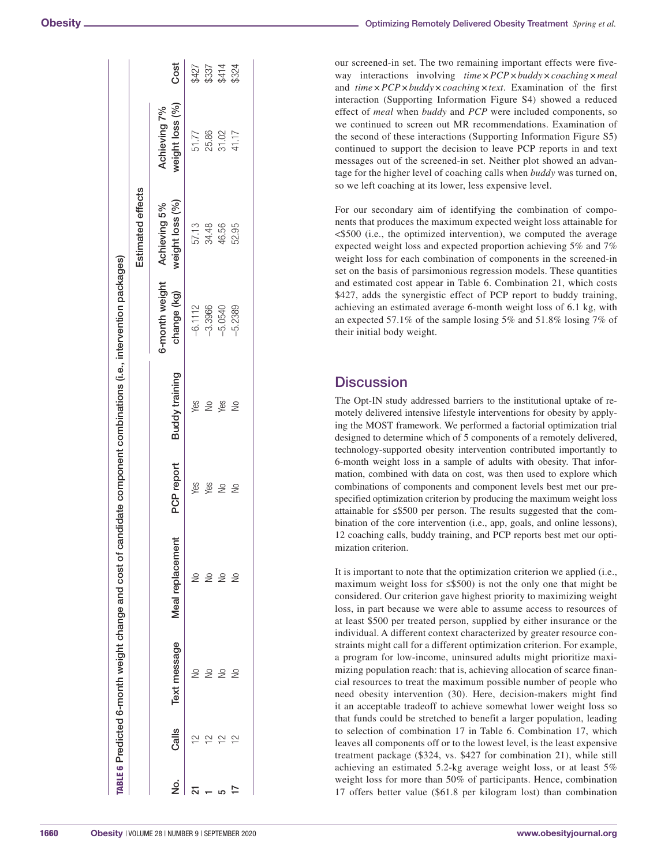| ۊ |   | Calls Text message | Meal replacement | PCP report | <b>Buddy training</b> | 6-month weight Achieving 5%<br>change (kg) | weight loss (%)         | weight loss (%)<br>Achieving 7% | Cost                             |
|---|---|--------------------|------------------|------------|-----------------------|--------------------------------------------|-------------------------|---------------------------------|----------------------------------|
|   |   |                    | $\geq$           | Yes        |                       |                                            |                         | 51.77                           |                                  |
|   |   | S                  | S                | Yes        |                       | $-6.1112$<br>$-3.3966$                     | 57.13<br>34.48<br>46.56 | 25.86                           | \$427<br>\$337<br>\$324<br>\$324 |
|   | ᠭ | S                  | S                | $\geq$     |                       | $-5.0540$                                  |                         | $31.02$<br>41.17                |                                  |
| ŗ | ς | S                  | S                | $\geq$     |                       | $-5.2389$                                  | 52.95                   |                                 |                                  |

MBLE 6 Predicted 6-month weight change and cost of candidate component combinations (i.e., intervention packages)

Predicted 6-month weight change and cost of candidate component combinations (i.e., intervention packages)

our screened-in set. The two remaining important effects were fiveway interactions involving *time* × *PCP* × *buddy* × *coaching* × *meal* and *time* × *PCP* × *buddy* × *coaching* × *text*. Examination of the first interaction (Supporting Information Figure S4) showed a reduced effect of *meal* when *buddy* and *PCP* were included components, so we continued to screen out MR recommendations. Examination of the second of these interactions (Supporting Information Figure S5) continued to support the decision to leave PCP reports in and text messages out of the screened-in set. Neither plot showed an advantage for the higher level of coaching calls when *buddy* was turned on, so we left coaching at its lower, less expensive level.

For our secondary aim of identifying the combination of components that produces the maximum expected weight loss attainable for <\$500 (i.e., the optimized intervention), we computed the average expected weight loss and expected proportion achieving 5% and 7% weight loss for each combination of components in the screened-in set on the basis of parsimonious regression models. These quantities and estimated cost appear in Table 6. Combination 21, which costs \$427, adds the synergistic effect of PCP report to buddy training, achieving an estimated average 6-month weight loss of 6.1 kg, with an expected 57.1% of the sample losing 5% and 51.8% losing 7% of their initial body weight.

### **Discussion**

The Opt-IN study addressed barriers to the institutional uptake of remotely delivered intensive lifestyle interventions for obesity by applying the MOST framework. We performed a factorial optimization trial designed to determine which of 5 components of a remotely delivered, technology-supported obesity intervention contributed importantly to 6-month weight loss in a sample of adults with obesity. That information, combined with data on cost, was then used to explore which combinations of components and component levels best met our prespecified optimization criterion by producing the maximum weight loss attainable for ≤\$500 per person. The results suggested that the combination of the core intervention (i.e., app, goals, and online lessons), 12 coaching calls, buddy training, and PCP reports best met our optimization criterion.

It is important to note that the optimization criterion we applied (i.e., maximum weight loss for ≤\$500) is not the only one that might be considered. Our criterion gave highest priority to maximizing weight loss, in part because we were able to assume access to resources of at least \$500 per treated person, supplied by either insurance or the individual. A different context characterized by greater resource constraints might call for a different optimization criterion. For example, a program for low-income, uninsured adults might prioritize maximizing population reach: that is, achieving allocation of scarce financial resources to treat the maximum possible number of people who need obesity intervention (30). Here, decision-makers might find it an acceptable tradeoff to achieve somewhat lower weight loss so that funds could be stretched to benefit a larger population, leading to selection of combination 17 in Table 6. Combination 17, which leaves all components off or to the lowest level, is the least expensive treatment package (\$324, vs. \$427 for combination 21), while still achieving an estimated 5.2-kg average weight loss, or at least 5% weight loss for more than 50% of participants. Hence, combination 17 offers better value (\$61.8 per kilogram lost) than combination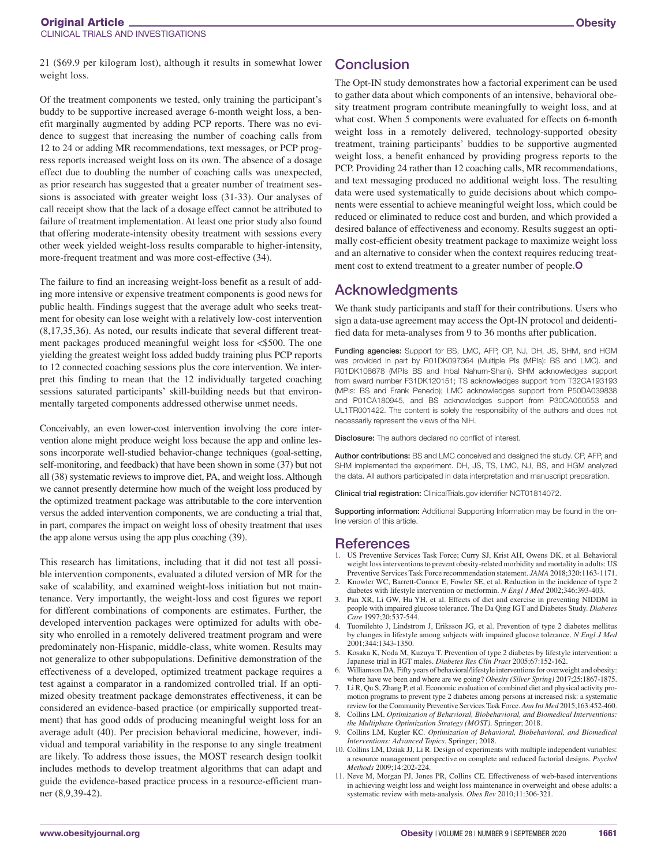21 (\$69.9 per kilogram lost), although it results in somewhat lower weight loss.

Of the treatment components we tested, only training the participant's buddy to be supportive increased average 6-month weight loss, a benefit marginally augmented by adding PCP reports. There was no evidence to suggest that increasing the number of coaching calls from 12 to 24 or adding MR recommendations, text messages, or PCP progress reports increased weight loss on its own. The absence of a dosage effect due to doubling the number of coaching calls was unexpected, as prior research has suggested that a greater number of treatment sessions is associated with greater weight loss (31-33). Our analyses of call receipt show that the lack of a dosage effect cannot be attributed to failure of treatment implementation. At least one prior study also found that offering moderate-intensity obesity treatment with sessions every other week yielded weight-loss results comparable to higher-intensity, more-frequent treatment and was more cost-effective (34).

The failure to find an increasing weight-loss benefit as a result of adding more intensive or expensive treatment components is good news for public health. Findings suggest that the average adult who seeks treatment for obesity can lose weight with a relatively low-cost intervention (8,17,35,36). As noted, our results indicate that several different treatment packages produced meaningful weight loss for <\$500. The one yielding the greatest weight loss added buddy training plus PCP reports to 12 connected coaching sessions plus the core intervention. We interpret this finding to mean that the 12 individually targeted coaching sessions saturated participants' skill-building needs but that environmentally targeted components addressed otherwise unmet needs.

Conceivably, an even lower-cost intervention involving the core intervention alone might produce weight loss because the app and online lessons incorporate well-studied behavior-change techniques (goal-setting, self-monitoring, and feedback) that have been shown in some (37) but not all (38) systematic reviews to improve diet, PA, and weight loss. Although we cannot presently determine how much of the weight loss produced by the optimized treatment package was attributable to the core intervention versus the added intervention components, we are conducting a trial that, in part, compares the impact on weight loss of obesity treatment that uses the app alone versus using the app plus coaching (39).

This research has limitations, including that it did not test all possible intervention components, evaluated a diluted version of MR for the sake of scalability, and examined weight-loss initiation but not maintenance. Very importantly, the weight-loss and cost figures we report for different combinations of components are estimates. Further, the developed intervention packages were optimized for adults with obesity who enrolled in a remotely delivered treatment program and were predominately non-Hispanic, middle-class, white women. Results may not generalize to other subpopulations. Definitive demonstration of the effectiveness of a developed, optimized treatment package requires a test against a comparator in a randomized controlled trial. If an optimized obesity treatment package demonstrates effectiveness, it can be considered an evidence-based practice (or empirically supported treatment) that has good odds of producing meaningful weight loss for an average adult (40). Per precision behavioral medicine, however, individual and temporal variability in the response to any single treatment are likely. To address those issues, the MOST research design toolkit includes methods to develop treatment algorithms that can adapt and guide the evidence-based practice process in a resource-efficient manner (8,9,39-42).

## **Conclusion**

The Opt-IN study demonstrates how a factorial experiment can be used to gather data about which components of an intensive, behavioral obesity treatment program contribute meaningfully to weight loss, and at what cost. When 5 components were evaluated for effects on 6-month weight loss in a remotely delivered, technology-supported obesity treatment, training participants' buddies to be supportive augmented weight loss, a benefit enhanced by providing progress reports to the PCP. Providing 24 rather than 12 coaching calls, MR recommendations, and text messaging produced no additional weight loss. The resulting data were used systematically to guide decisions about which components were essential to achieve meaningful weight loss, which could be reduced or eliminated to reduce cost and burden, and which provided a desired balance of effectiveness and economy. Results suggest an optimally cost-efficient obesity treatment package to maximize weight loss and an alternative to consider when the context requires reducing treatment cost to extend treatment to a greater number of people.**O**

### Acknowledgments

We thank study participants and staff for their contributions. Users who sign a data-use agreement may access the Opt-IN protocol and deidentified data for meta-analyses from 9 to 36 months after publication.

Funding agencies: Support for BS, LMC, AFP, CP, NJ, DH, JS, SHM, and HGM was provided in part by R01DK097364 (Multiple PIs (MPIs): BS and LMC). and R01DK108678 (MPIs BS and Inbal Nahum-Shani). SHM acknowledges support from award number F31DK120151; TS acknowledges support from T32CA193193 (MPIs: BS and Frank Penedo); LMC acknowledges support from P50DA039838 and P01CA180945, and BS acknowledges support from P30CA060553 and UL1TR001422. The content is solely the responsibility of the authors and does not necessarily represent the views of the NIH.

Disclosure: The authors declared no conflict of interest.

Author contributions: BS and LMC conceived and designed the study. CP, AFP, and SHM implemented the experiment. DH, JS, TS, LMC, NJ, BS, and HGM analyzed the data. All authors participated in data interpretation and manuscript preparation.

Clinical trial registration: ClinicalTrials.gov identifier NCT01814072.

Supporting information: Additional Supporting Information may be found in the online version of this article.

#### **References**

- US Preventive Services Task Force; Curry SJ, Krist AH, Owens DK, et al. Behavioral weight loss interventions to prevent obesity-related morbidity and mortality in adults: US Preventive Services Task Force recommendation statement. *JAMA* 2018;320:1163-1171.
- Knowler WC, Barrett-Connor E, Fowler SE, et al. Reduction in the incidence of type 2 diabetes with lifestyle intervention or metformin. *N Engl J Med* 2002;346:393-403.
- 3. Pan XR, Li GW, Hu YH, et al. Effects of diet and exercise in preventing NIDDM in people with impaired glucose tolerance. The Da Qing IGT and Diabetes Study. *Diabetes Care* 1997;20:537-544.
- 4. Tuomilehto J, Lindstrom J, Eriksson JG, et al. Prevention of type 2 diabetes mellitus by changes in lifestyle among subjects with impaired glucose tolerance. *N Engl J Med* 2001;344:1343-1350.
- 5. Kosaka K, Noda M, Kuzuya T. Prevention of type 2 diabetes by lifestyle intervention: a Japanese trial in IGT males. *Diabetes Res Clin Pract* 2005;67:152-162.
- 6. Williamson DA. Fifty years of behavioral/lifestyle interventions for overweight and obesity: where have we been and where are we going? *Obesity (Silver Spring)* 2017;25:1867-1875.
- 7. Li R, Qu S, Zhang P, et al. Economic evaluation of combined diet and physical activity promotion programs to prevent type 2 diabetes among persons at increased risk: a systematic review for the Community Preventive Services Task Force. *Ann Int Med* 2015;163:452-460.
- 8. Collins LM. *Optimization of Behavioral, Biobehavioral, and Biomedical Interventions: the Multiphase Optimization Strategy (MOST)*. Springer; 2018.
- 9. Collins LM, Kugler KC. *Optimization of Behavioral, Biobehavioral, and Biomedical Interventions: Advanced Topics*. Springer; 2018.
- 10. Collins LM, Dziak JJ, Li R. Design of experiments with multiple independent variables: a resource management perspective on complete and reduced factorial designs. *Psychol Methods* 2009;14:202-224.
- 11. Neve M, Morgan PJ, Jones PR, Collins CE. Effectiveness of web-based interventions in achieving weight loss and weight loss maintenance in overweight and obese adults: a systematic review with meta-analysis. *Obes Rev* 2010;11:306-321.